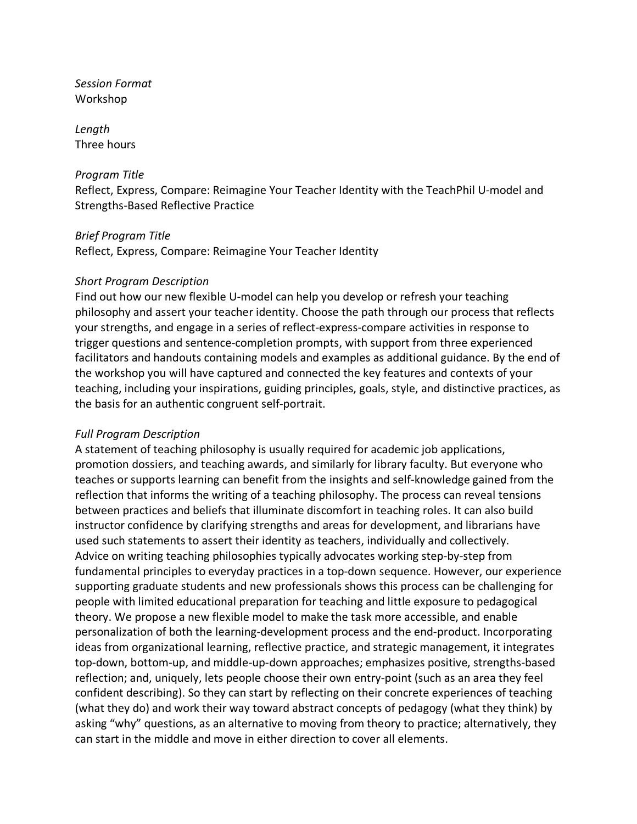*Session Format* Workshop

*Length* Three hours

### *Program Title*

Reflect, Express, Compare: Reimagine Your Teacher Identity with the TeachPhil U-model and Strengths-Based Reflective Practice

### *Brief Program Title*

Reflect, Express, Compare: Reimagine Your Teacher Identity

### *Short Program Description*

Find out how our new flexible U-model can help you develop or refresh your teaching philosophy and assert your teacher identity. Choose the path through our process that reflects your strengths, and engage in a series of reflect-express-compare activities in response to trigger questions and sentence-completion prompts, with support from three experienced facilitators and handouts containing models and examples as additional guidance. By the end of the workshop you will have captured and connected the key features and contexts of your teaching, including your inspirations, guiding principles, goals, style, and distinctive practices, as the basis for an authentic congruent self-portrait.

### *Full Program Description*

A statement of teaching philosophy is usually required for academic job applications, promotion dossiers, and teaching awards, and similarly for library faculty. But everyone who teaches or supports learning can benefit from the insights and self-knowledge gained from the reflection that informs the writing of a teaching philosophy. The process can reveal tensions between practices and beliefs that illuminate discomfort in teaching roles. It can also build instructor confidence by clarifying strengths and areas for development, and librarians have used such statements to assert their identity as teachers, individually and collectively. Advice on writing teaching philosophies typically advocates working step-by-step from fundamental principles to everyday practices in a top-down sequence. However, our experience supporting graduate students and new professionals shows this process can be challenging for people with limited educational preparation for teaching and little exposure to pedagogical theory. We propose a new flexible model to make the task more accessible, and enable personalization of both the learning-development process and the end-product. Incorporating ideas from organizational learning, reflective practice, and strategic management, it integrates top-down, bottom-up, and middle-up-down approaches; emphasizes positive, strengths-based reflection; and, uniquely, lets people choose their own entry-point (such as an area they feel confident describing). So they can start by reflecting on their concrete experiences of teaching (what they do) and work their way toward abstract concepts of pedagogy (what they think) by asking "why" questions, as an alternative to moving from theory to practice; alternatively, they can start in the middle and move in either direction to cover all elements.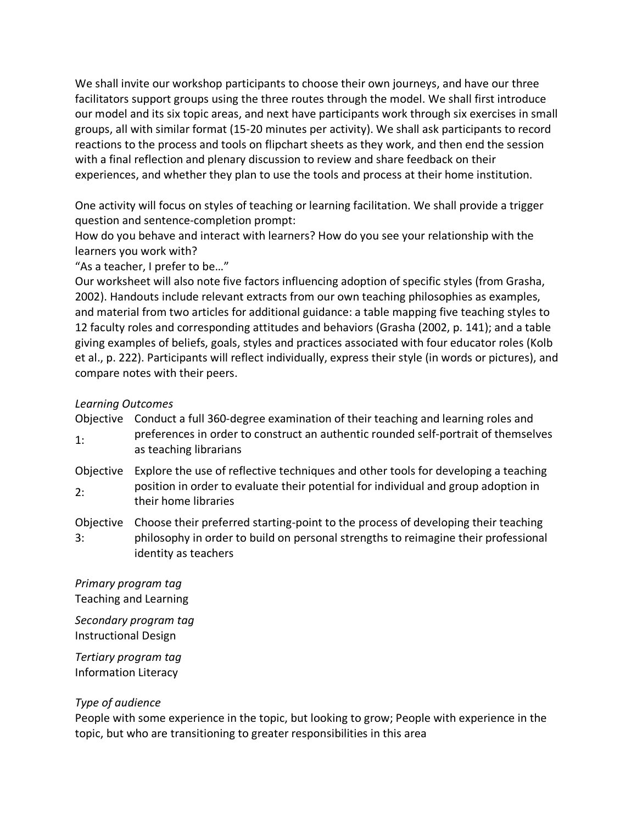We shall invite our workshop participants to choose their own journeys, and have our three facilitators support groups using the three routes through the model. We shall first introduce our model and its six topic areas, and next have participants work through six exercises in small groups, all with similar format (15-20 minutes per activity). We shall ask participants to record reactions to the process and tools on flipchart sheets as they work, and then end the session with a final reflection and plenary discussion to review and share feedback on their experiences, and whether they plan to use the tools and process at their home institution.

One activity will focus on styles of teaching or learning facilitation. We shall provide a trigger question and sentence-completion prompt:

How do you behave and interact with learners? How do you see your relationship with the learners you work with?

"As a teacher, I prefer to be…"

Our worksheet will also note five factors influencing adoption of specific styles (from Grasha, 2002). Handouts include relevant extracts from our own teaching philosophies as examples, and material from two articles for additional guidance: a table mapping five teaching styles to 12 faculty roles and corresponding attitudes and behaviors (Grasha (2002, p. 141); and a table giving examples of beliefs, goals, styles and practices associated with four educator roles (Kolb et al., p. 222). Participants will reflect individually, express their style (in words or pictures), and compare notes with their peers.

# *Learning Outcomes*

| Objective<br>1: | Conduct a full 360-degree examination of their teaching and learning roles and<br>preferences in order to construct an authentic rounded self-portrait of themselves<br>as teaching librarians   |
|-----------------|--------------------------------------------------------------------------------------------------------------------------------------------------------------------------------------------------|
| Objective<br>2: | Explore the use of reflective techniques and other tools for developing a teaching<br>position in order to evaluate their potential for individual and group adoption in<br>their home libraries |
| Objective<br>3: | Choose their preferred starting-point to the process of developing their teaching<br>philosophy in order to build on personal strengths to reimagine their professional<br>identity as teachers  |

*Primary program tag* Teaching and Learning

*Secondary program tag* Instructional Design

*Tertiary program tag* Information Literacy

### *Type of audience*

People with some experience in the topic, but looking to grow; People with experience in the topic, but who are transitioning to greater responsibilities in this area